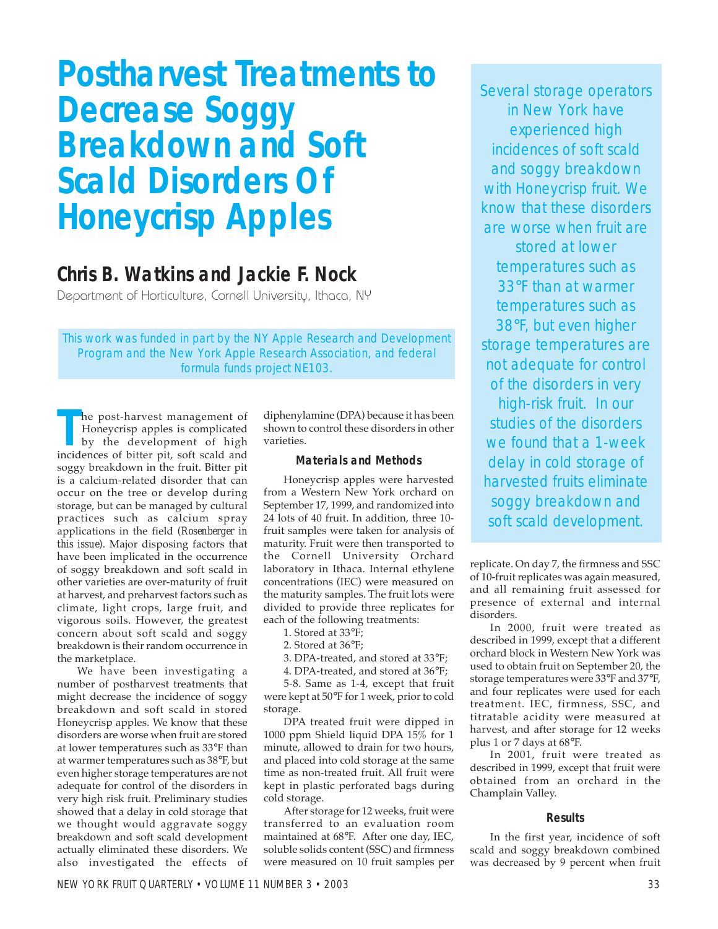# **Postharvest Treatments to Decrease Soggy Breakdown and Soft Scald Disorders Of Honeycrisp Apples**

## **Chris B. Watkins and Jackie F. Nock**

Department of Horticulture, Cornell University, Ithaca, NY

This work was funded in part by the NY Apple Research and Development Program and the New York Apple Research Association, and federal formula funds project NE103.

**The post-harvest management of Honeycrisp apples is complicated<br>by the development of high<br>incidences of bitter pit, soft scald and** he post-harvest management of Honeycrisp apples is complicated by the development of high soggy breakdown in the fruit. Bitter pit is a calcium-related disorder that can occur on the tree or develop during storage, but can be managed by cultural practices such as calcium spray applications in the field *(Rosenberger in this issue)*. Major disposing factors that have been implicated in the occurrence of soggy breakdown and soft scald in other varieties are over-maturity of fruit at harvest, and preharvest factors such as climate, light crops, large fruit, and vigorous soils. However, the greatest concern about soft scald and soggy breakdown is their random occurrence in the marketplace.

We have been investigating a number of postharvest treatments that might decrease the incidence of soggy breakdown and soft scald in stored Honeycrisp apples. We know that these disorders are worse when fruit are stored at lower temperatures such as 33°F than at warmer temperatures such as 38°F, but even higher storage temperatures are not adequate for control of the disorders in very high risk fruit. Preliminary studies showed that a delay in cold storage that we thought would aggravate soggy breakdown and soft scald development actually eliminated these disorders. We also investigated the effects of

diphenylamine (DPA) because it has been shown to control these disorders in other varieties.

### **Materials and Methods**

Honeycrisp apples were harvested from a Western New York orchard on September 17, 1999, and randomized into 24 lots of 40 fruit. In addition, three 10 fruit samples were taken for analysis of maturity. Fruit were then transported to the Cornell University Orchard laboratory in Ithaca. Internal ethylene concentrations (IEC) were measured on the maturity samples. The fruit lots were divided to provide three replicates for each of the following treatments:

1. Stored at 33°F;

- 2. Stored at 36°F;
- 3. DPA-treated, and stored at 33°F;
- 4. DPA-treated, and stored at 36°F;

5-8. Same as 1-4, except that fruit were kept at 50°F for 1 week, prior to cold storage.

DPA treated fruit were dipped in 1000 ppm Shield liquid DPA 15% for 1 minute, allowed to drain for two hours, and placed into cold storage at the same time as non-treated fruit. All fruit were kept in plastic perforated bags during cold storage.

After storage for 12 weeks, fruit were transferred to an evaluation room maintained at 68°F. After one day, IEC, soluble solids content (SSC) and firmness were measured on 10 fruit samples per

Several storage operators in New York have experienced high incidences of soft scald and soggy breakdown with Honeycrisp fruit. We know that these disorders are worse when fruit are stored at lower temperatures such as 33°F than at warmer temperatures such as 38°F, but even higher storage temperatures are not adequate for control of the disorders in very high-risk fruit. In our studies of the disorders we found that a 1-week delay in cold storage of harvested fruits eliminate soggy breakdown and soft scald development.

replicate. On day 7, the firmness and SSC of 10-fruit replicates was again measured, and all remaining fruit assessed for presence of external and internal disorders.

In 2000, fruit were treated as described in 1999, except that a different orchard block in Western New York was used to obtain fruit on September 20, the storage temperatures were 33°F and 37°F, and four replicates were used for each treatment. IEC, firmness, SSC, and titratable acidity were measured at harvest, and after storage for 12 weeks plus 1 or 7 days at 68°F.

In 2001, fruit were treated as described in 1999, except that fruit were obtained from an orchard in the Champlain Valley.

#### **Results**

In the first year, incidence of soft scald and soggy breakdown combined was decreased by 9 percent when fruit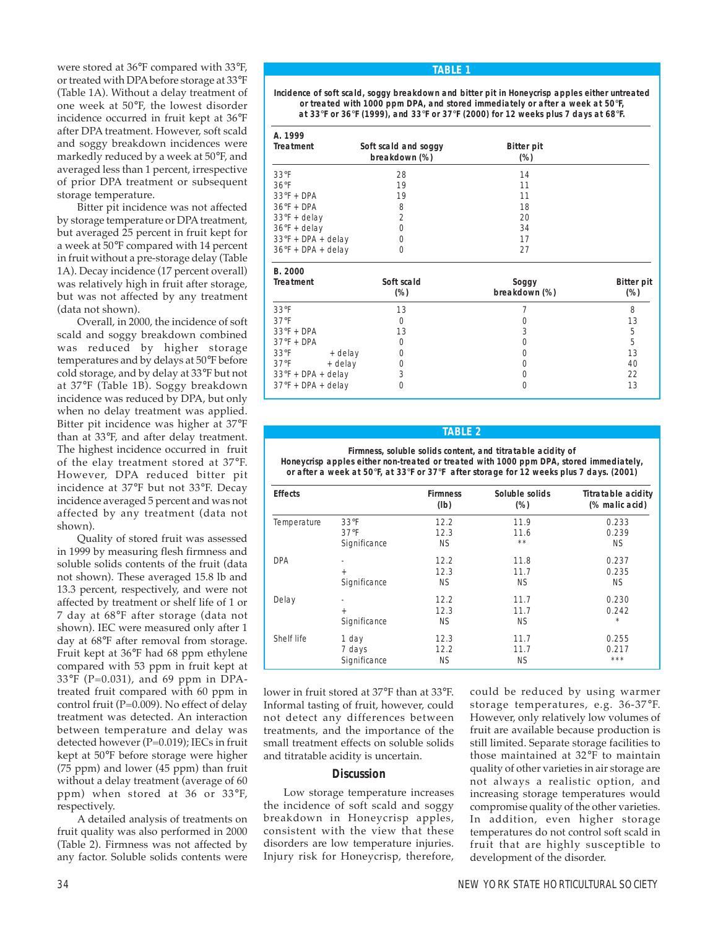were stored at 36°F compared with 33°F, or treated with DPA before storage at 33°F (Table 1A). Without a delay treatment of one week at 50°F, the lowest disorder incidence occurred in fruit kept at 36°F after DPA treatment. However, soft scald and soggy breakdown incidences were markedly reduced by a week at 50°F, and averaged less than 1 percent, irrespective of prior DPA treatment or subsequent storage temperature.

Bitter pit incidence was not affected by storage temperature or DPA treatment, but averaged 25 percent in fruit kept for a week at 50°F compared with 14 percent in fruit without a pre-storage delay (Table 1A). Decay incidence (17 percent overall) was relatively high in fruit after storage, but was not affected by any treatment (data not shown).

Overall, in 2000, the incidence of soft scald and soggy breakdown combined was reduced by higher storage temperatures and by delays at 50°F before cold storage, and by delay at 33°F but not at 37°F (Table 1B). Soggy breakdown incidence was reduced by DPA, but only when no delay treatment was applied. Bitter pit incidence was higher at 37°F than at 33°F, and after delay treatment. The highest incidence occurred in fruit of the elay treatment stored at 37°F. However, DPA reduced bitter pit incidence at 37°F but not 33°F. Decay incidence averaged 5 percent and was not affected by any treatment (data not shown).

Quality of stored fruit was assessed in 1999 by measuring flesh firmness and soluble solids contents of the fruit (data not shown). These averaged 15.8 lb and 13.3 percent, respectively, and were not affected by treatment or shelf life of 1 or 7 day at 68°F after storage (data not shown). IEC were measured only after 1 day at 68°F after removal from storage. Fruit kept at 36°F had 68 ppm ethylene compared with 53 ppm in fruit kept at 33°F (P=0.031), and 69 ppm in DPAtreated fruit compared with 60 ppm in control fruit (P=0.009). No effect of delay treatment was detected. An interaction between temperature and delay was detected however (P=0.019); IECs in fruit kept at 50°F before storage were higher (75 ppm) and lower (45 ppm) than fruit without a delay treatment (average of 60 ppm) when stored at 36 or 33°F, respectively.

A detailed analysis of treatments on fruit quality was also performed in 2000 (Table 2). Firmness was not affected by any factor. Soluble solids contents were

#### **TABLE 1**

**Incidence of soft scald, soggy breakdown and bitter pit in Honeycrisp apples either untreated or treated with 1000 ppm DPA, and stored immediately or after a week at 50**°**F, at 33**°**F or 36**°**F (1999), and 33**°**F or 37**°**F (2000) for 12 weeks plus 7 days at 68**°**F.**

| A. 1999<br><b>Treatment</b> | Soft scald and soggy<br>breakdown (%) | <b>Bitter pit</b><br>$(\%)$ |  |
|-----------------------------|---------------------------------------|-----------------------------|--|
| $33^\circ F$                | 28                                    | 14                          |  |
| $36^{\circ}F$               | 19                                    | 11                          |  |
| $33^{\circ}F + DPA$         | 19                                    | 11                          |  |
| $36^\circ F + DPA$          | 8                                     | 18                          |  |
| $33^{\circ}F +$ delay       | $\overline{2}$                        | 20                          |  |
| $36^{\circ}F +$ delay       | 0                                     | 34                          |  |
| $33^{\circ}F + DPA + delay$ | $\Omega$                              | 17                          |  |
| $36^{\circ}F + DPA + delay$ | 0                                     | 27                          |  |

| B. 2000<br><b>Treatment</b> | Soft scald<br>$(\%)$ | Soggy<br>breakdown (%) | <b>Bitter pit</b><br>$(\%)$ |
|-----------------------------|----------------------|------------------------|-----------------------------|
| $33^\circ F$                | 13                   |                        | 8                           |
| 37°F                        | 0                    |                        | 13                          |
| $33^{\circ}F + DPA$         | 13                   | 3                      | 5                           |
| $37^{\circ}F + DPA$         | 0                    |                        | 5                           |
| $33^\circ$ F<br>+ delay     | 0                    |                        | 13                          |
| $37^{\circ}$ F<br>+ delay   | 0                    |                        | 40                          |
| $33^{\circ}F + DPA + delay$ | 3                    |                        | 22                          |
| $37^{\circ}F + DPA + delay$ |                      |                        | 13                          |

### **TABLE 2**

**Firmness, soluble solids content, and titratable acidity of Honeycrisp apples either non-treated or treated with 1000 ppm DPA, stored immediately, or after a week at 50**°**F, at 33**°**F or 37**°**F after storage for 12 weeks plus 7 days. (2001)**

| <b>Effects</b> |                      | <b>Firmness</b><br>(lb) | Soluble solids<br>$(\%)$ | <b>Titratable acidity</b><br>(% malic acid) |
|----------------|----------------------|-------------------------|--------------------------|---------------------------------------------|
| Temperature    | $33^\circ F$<br>37°F | 12.2<br>12.3            | 11.9<br>11.6             | 0.233<br>0.239                              |
|                | Significance         | <b>NS</b>               | $* *$                    | <b>NS</b>                                   |
| <b>DPA</b>     | ٠                    | 12.2                    | 11.8                     | 0.237                                       |
|                | $+$                  | 12.3                    | 11.7                     | 0.235                                       |
|                | Significance         | <b>NS</b>               | <b>NS</b>                | <b>NS</b>                                   |
| Delay          | ٠                    | 12.2                    | 11.7                     | 0.230                                       |
|                | $+$                  | 12.3                    | 11.7                     | 0.242                                       |
|                | Significance         | <b>NS</b>               | <b>NS</b>                | $\star$                                     |
| Shelf life     | 1 day                | 12.3                    | 11.7                     | 0.255                                       |
|                | 7 days               | 12.2                    | 11.7                     | 0.217                                       |
|                | Significance         | <b>NS</b>               | <b>NS</b>                | ***                                         |

lower in fruit stored at 37°F than at 33°F. Informal tasting of fruit, however, could not detect any differences between treatments, and the importance of the small treatment effects on soluble solids and titratable acidity is uncertain.

#### **Discussion**

Low storage temperature increases the incidence of soft scald and soggy breakdown in Honeycrisp apples, consistent with the view that these disorders are low temperature injuries. Injury risk for Honeycrisp, therefore,

could be reduced by using warmer storage temperatures, e.g. 36-37°F. However, only relatively low volumes of fruit are available because production is still limited. Separate storage facilities to those maintained at 32°F to maintain quality of other varieties in air storage are not always a realistic option, and increasing storage temperatures would compromise quality of the other varieties. In addition, even higher storage temperatures do not control soft scald in fruit that are highly susceptible to development of the disorder.